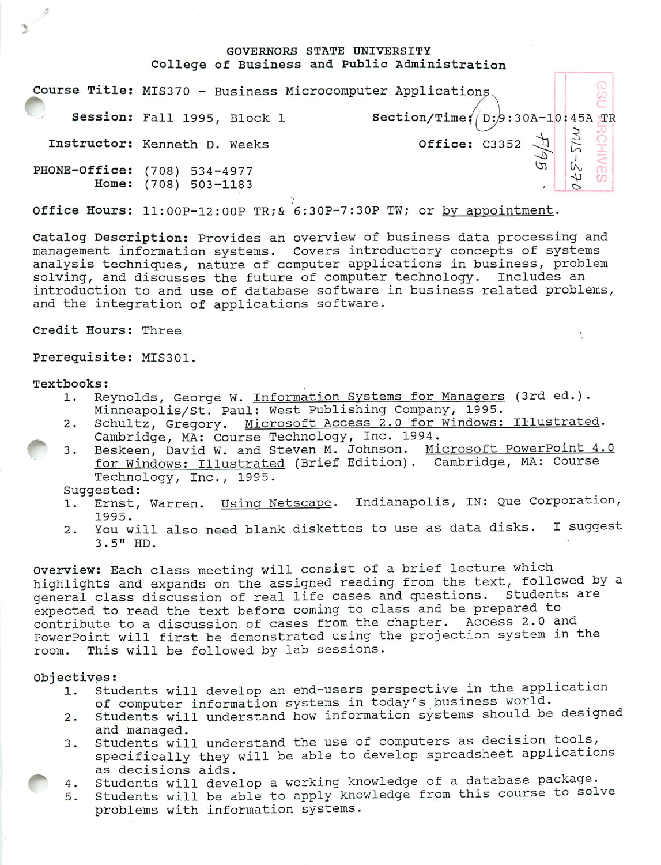## GOVERNORS STATE UNIVERSITY College of Business and Public Administration

|       | Course Title: MIS370 - Business Microcomputer Applications |                                                         |  |
|-------|------------------------------------------------------------|---------------------------------------------------------|--|
|       | Session: Fall 1995, Block 1                                | Section/Time: $(D:9:30A-10:45A)TR$                      |  |
|       | Instructor: Kenneth D. Weeks                               | Office: C3352 $\frac{1}{2}$ $\frac{3}{5}$ $\frac{0}{2}$ |  |
| Home: | PHONE-Office: (708) 534-4977<br>$(708) 503 - 1183$         |                                                         |  |

Office Hours: 11:00P-12:OOP TR;& 6:30P-7:30P TW; or by appointment.

Catalog Description: Provides an overview of business data processing and management information systems. Covers introductory concepts of systems analysis techniques, nature of computer applications in business, problem solving, and discusses the future of computer technology. Includes an introduction to and use of database software in business related problems, and the integration of applications software.

Credit Hours: Three

Prerequisite: MIS301.

#### Textbooks:

- 1. Reynolds, George W. Information Systems for Managers (3rd ed.). Minneapolis/St. Paul: West Publishing Company, 1995.
- 2. Schultz, Gregory. Microsoft Access 2.0 for Windows: Illustrated. Cambridge, MA: Course Technology, Inc. 1994.
- 3. Beskeen, David W. and Steven M. Johnson. Microsoft PowerPoint 4.0 for Windows: Illustrated (Brief Edition). Cambridge, MA: Course Technology, Inc., 1995.

Suggested:

- 1. Ernst, Warren. Using Netscape. Indianapolis, IN: Que Corporation, 1995.
- 2. You will also need blank diskettes to use as data disks. I suggest 3.5" HD.

Overview: Each class meeting will consist of a brief lecture which highlights and expands on the assigned reading from the text, followed by a general class discussion of real life cases and questions. Students are expected to read the text before coming to class and be prepared to contribute to a discussion of cases from the chapter. Access 2.0 and PowerPoint will first be demonstrated using the projection system in the room. This will be followed by lab sessions.

### Objectives:

- 1. Students will develop an end-users perspective in the application of computer information systems in today's business world.
- 2. Students will understand how information systems should be designed and managed.
- 3. Students will understand the use of computers as decision tools, specifically they will be able to develop spreadsheet applications as decisions aids.
- 4. Students will develop a working knowledge of a database package.
- 5. Students will be able to apply knowledge from this course to solve problems with information systems.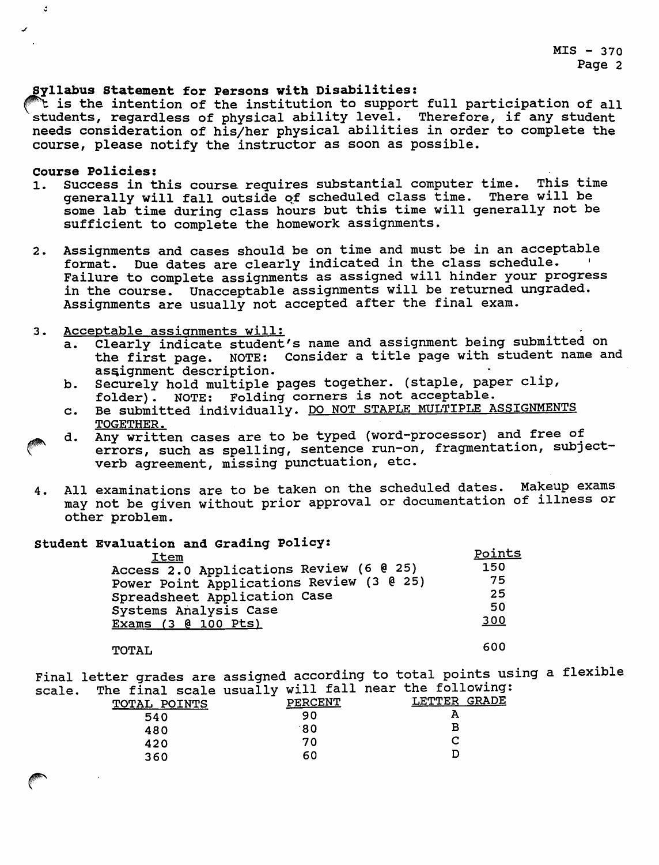## Syllabus Statement for Persons with Disabilities:

**^t** is the intention of the institution to support full participation of all students, regardless of physical ability level. Therefore, if any student needs consideration of his/her physical abilities in order to complete the course, please notify the instructor as soon as possible.

# Course Policies:

 $\ddot{\phantom{a}}$ 

- 1. Success in this course requires substantial computer time. This time generally will fall outside of scheduled class time. There will be generally will fall outside of scheduled class time. some lab time during class hours but this time will generally not be sufficient to complete the homework assignments.
- 2. Assignments and cases should be on time and must be in an acceptable format. Due dates are clearly indicated in the class schedule. Failure to complete assignments as assigned will hinder your progress in the course. Unacceptable assignments will be returned ungraded. Assignments are usually not accepted after the final exam.
- 3. Acceptable assignments will:
	- a. Clearly indicate student's name and assignment being submitted on the first page. NOTE: Consider a title page with student name and assignment description.
	- b. Securely hold multiple pages together, (staple, paper clip, folder). NOTE: Folding corners is not acceptable.
	- c. Be submitted individually. DO NOT STAPLE MULTIPLE ASSIGNMENTS TOGETHER.
	- d. Any written cases are to be typed (word-processor) and free of errors, such as spelling, sentence run-on, fragmentation, subjectverb agreement, missing punctuation, etc.
- 4. All examinations are to be taken on the scheduled dates. Makeup exams may not be given without prior approval or documentation of illness or other problem.

## Student Evaluation and Grading Policy:

| <b>Item</b>                              | Points |
|------------------------------------------|--------|
| Access 2.0 Applications Review (6 0 25)  | 150    |
| Power Point Applications Review (3 @ 25) | 75     |
| Spreadsheet Application Case             | 25     |
| Systems Analysis Case                    | 50     |
| Exams (3 @ 100 Pts)                      | 300    |
|                                          |        |

# TOTAL 600

Final letter grades are assigned according to total points using a flexible scale. The final scale usually will fall near the following:

| THE TIME SCATE ASHAIF!<br>TOTAL POINTS | PERCENT | LETTER GRADE |
|----------------------------------------|---------|--------------|
| 540                                    | 90      |              |
| 480                                    | 80.     |              |
| 420                                    | 70      |              |
| 360                                    | 60      |              |
|                                        |         |              |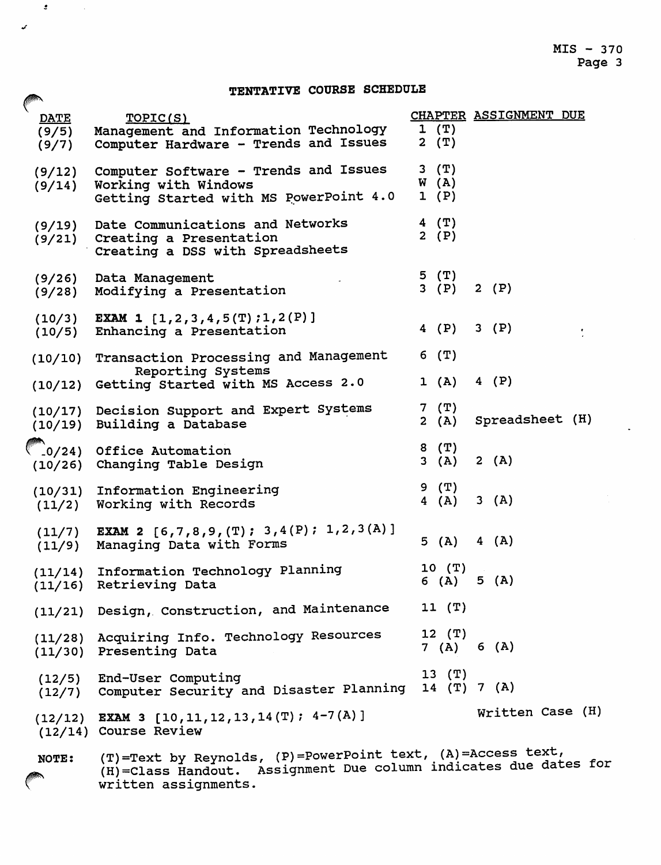$\ddot{\phantom{a}}$ 

#### TENTATIVE COURSE SCHEDULE *rT.T? I Liri*

 $\mathcal{L} = \{ \mathcal{L} \}$  .

 $\boldsymbol{\mathcal{L}}$ 

| $\mathcal{L}$<br><b>DATE</b> | TOPIC(S)                                                                                                                                                |                            | CHAPTER ASSIGNMENT DUE |  |
|------------------------------|---------------------------------------------------------------------------------------------------------------------------------------------------------|----------------------------|------------------------|--|
| (9/5)<br>(9/7)               | Management and Information Technology<br>Computer Hardware - Trends and Issues                                                                          | 1(T)<br>2(T)               |                        |  |
| (9/12)<br>(9/14)             | Computer Software - Trends and Issues<br>Working with Windows<br>Getting Started with MS PowerPoint 4.0                                                 | $3$ $(T)$<br>W(A)<br>1 (P) |                        |  |
| (9/19)<br>(9/21)             | Date Communications and Networks<br>Creating a Presentation<br>Creating a DSS with Spreadsheets                                                         | 4 (T)<br>2 $(P)$           |                        |  |
| (9/26)<br>(9/28)             | Data Management<br>Modifying a Presentation                                                                                                             | 5(T)<br>3 (P)              | 2 $(P)$                |  |
| (10/3)<br>(10/5)             | <b>EXAM 1</b> [1, 2, 3, 4, 5(T) ; 1, 2(P)]<br>Enhancing a Presentation                                                                                  | 4 (P)                      | 3(P)                   |  |
| (10/10)                      | Transaction Processing and Management                                                                                                                   | $6$ (T)                    |                        |  |
| (10/12)                      | Reporting Systems<br>Getting Started with MS Access 2.0                                                                                                 | 1 (A)                      | $4$ (P)                |  |
| (10/19)                      | (10/17) Decision Support and Expert Systems<br>Building a Database                                                                                      | $7$ $(T)$<br>2(A)          | Spreadsheet (H)        |  |
| .0/24)                       | Office Automation<br>(10/26) Changing Table Design                                                                                                      | $8$ $(T)$<br>3(A)          | 2(A)                   |  |
| (10/31)<br>(11/2)            | Information Engineering<br>Working with Records                                                                                                         | $9$ $(T)$<br>4(A)          | 3(A)                   |  |
| (11/7)<br>(11/9)             | <b>EXAM 2</b> [6,7,8,9, (T); 3,4(P); 1,2,3(A)]<br>Managing Data with Forms                                                                              | 5(A)                       | 4(A)                   |  |
| (11/16)                      | (11/14) Information Technology Planning<br>Retrieving Data                                                                                              | 10(T)<br>6 (A)             | 5(A)                   |  |
|                              | (11/21) Design, Construction, and Maintenance                                                                                                           | 11(T)                      |                        |  |
|                              | (11/28) Acquiring Info. Technology Resources<br>(11/30) Presenting Data                                                                                 | $12$ $(T)$<br>7 (A) 6 (A)  |                        |  |
|                              | (12/5) End-User Computing<br>(12/7) Computer Security and Disaster Planning                                                                             | $13$ $(T)$<br>14 (T) 7 (A) |                        |  |
|                              | $(12/12)$ EXAM 3 $[10, 11, 12, 13, 14(T); 4-7(A)]$<br>(12/14) Course Review                                                                             |                            | Written Case (H)       |  |
| <b>NOTE:</b>                 | (T)=Text by Reynolds, (P)=PowerPoint text, (A)=Access text,<br>(H)=Class Handout. Assignment Due column indicates due dates for<br>written assignments. |                            |                        |  |